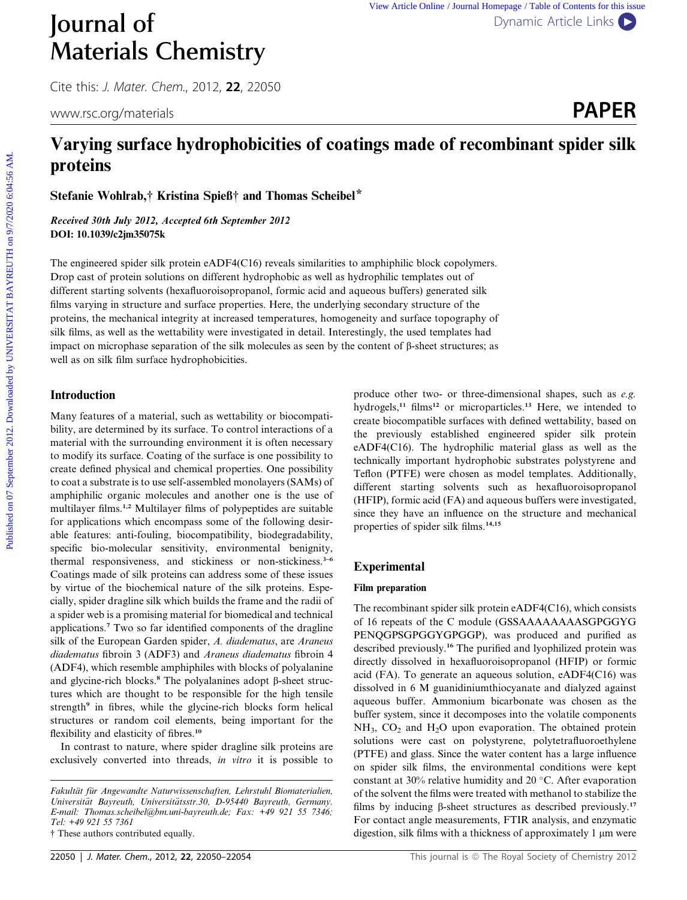# Materials Chemistry

Cite this: J. Mater. Chem., 2012, <sup>22</sup>, 22050

# Journal of [Dynamic Article Links](http://dx.doi.org/10.1039/c2jm35075k)



# Varying surface hydrophobicities of coatings made of recombinant spider silk proteins

Stefanie Wohlrab,† Kristina Spieß† and Thomas Scheibel\*

Received 30th July 2012, Accepted 6th September 2012 DOI: 10.1039/c2jm35075k

The engineered spider silk protein eADF4(C16) reveals similarities to amphiphilic block copolymers. Drop cast of protein solutions on different hydrophobic as well as hydrophilic templates out of different starting solvents (hexafluoroisopropanol, formic acid and aqueous buffers) generated silk films varying in structure and surface properties. Here, the underlying secondary structure of the proteins, the mechanical integrity at increased temperatures, homogeneity and surface topography of silk films, as well as the wettability were investigated in detail. Interestingly, the used templates had impact on microphase separation of the silk molecules as seen by the content of  $\beta$ -sheet structures; as well as on silk film surface hydrophobicities. **PUBLIME STATE CONSULTERENT CONTROL** CONTROL CONTROL CONTROL CONTROL CONTROL CONTROL CONTROL CONTROL CONTROL CONTROL CONTROL CONTROL CONTROL CONTROL CONTROL CONTROL CONTROL CONTROL CONTROL CONTROL CONTROL CONTROL CONTROL

#### Introduction

Many features of a material, such as wettability or biocompatibility, are determined by its surface. To control interactions of a material with the surrounding environment it is often necessary to modify its surface. Coating of the surface is one possibility to create defined physical and chemical properties. One possibility to coat a substrate is to use self-assembled monolayers (SAMs) of amphiphilic organic molecules and another one is the use of multilayer films.1,2 Multilayer films of polypeptides are suitable for applications which encompass some of the following desirable features: anti-fouling, biocompatibility, biodegradability, specific bio-molecular sensitivity, environmental benignity, thermal responsiveness, and stickiness or non-stickiness.<sup>3-6</sup> Coatings made of silk proteins can address some of these issues by virtue of the biochemical nature of the silk proteins. Especially, spider dragline silk which builds the frame and the radii of a spider web is a promising material for biomedical and technical applications.<sup>7</sup> Two so far identified components of the dragline silk of the European Garden spider, A. diadematus, are Araneus diadematus fibroin 3 (ADF3) and Araneus diadematus fibroin 4 (ADF4), which resemble amphiphiles with blocks of polyalanine and glycine-rich blocks.<sup>8</sup> The polyalanines adopt  $\beta$ -sheet structures which are thought to be responsible for the high tensile strength<sup>9</sup> in fibres, while the glycine-rich blocks form helical structures or random coil elements, being important for the flexibility and elasticity of fibres.<sup>10</sup>

In contrast to nature, where spider dragline silk proteins are exclusively converted into threads, in vitro it is possible to

† These authors contributed equally.

different starting solvents such as hexafluoroisopropanol (HFIP), formic acid (FA) and aqueous buffers were investigated, since they have an influence on the structure and mechanical properties of spider silk films.<sup>14,15</sup> Experimental Film preparation

The recombinant spider silk protein eADF4(C16), which consists of 16 repeats of the C module (GSSAAAAAAAASGPGGYG PENQGPSGPGGYGPGGP), was produced and purified as described previously.<sup>16</sup> The purified and lyophilized protein was directly dissolved in hexafluoroisopropanol (HFIP) or formic acid (FA). To generate an aqueous solution, eADF4(C16) was dissolved in 6 M guanidiniumthiocyanate and dialyzed against aqueous buffer. Ammonium bicarbonate was chosen as the buffer system, since it decomposes into the volatile components  $NH<sub>3</sub>$ ,  $CO<sub>2</sub>$  and  $H<sub>2</sub>O$  upon evaporation. The obtained protein solutions were cast on polystyrene, polytetrafluoroethylene (PTFE) and glass. Since the water content has a large influence on spider silk films, the environmental conditions were kept constant at 30% relative humidity and 20  $^{\circ}$ C. After evaporation of the solvent the films were treated with methanol to stabilize the films by inducing  $\beta$ -sheet structures as described previously.<sup>17</sup> For contact angle measurements, FTIR analysis, and enzymatic digestion, silk films with a thickness of approximately  $1 \mu m$  were

produce other two- or three-dimensional shapes, such as e.g. hydrogels,<sup>11</sup> films<sup>12</sup> or microparticles.<sup>13</sup> Here, we intended to create biocompatible surfaces with defined wettability, based on the previously established engineered spider silk protein eADF4(C16). The hydrophilic material glass as well as the technically important hydrophobic substrates polystyrene and Teflon (PTFE) were chosen as model templates. Additionally,

Fakultät für Angewandte Naturwissenschaften, Lehrstuhl Biomaterialien, Universität Bayreuth, Universitätsstr.30, D-95440 Bayreuth, Germany. E-mail: Thomas.scheibel@bm.uni-bayreuth.de; Fax: +49 921 55 7346; Tel: +49 921 55 7361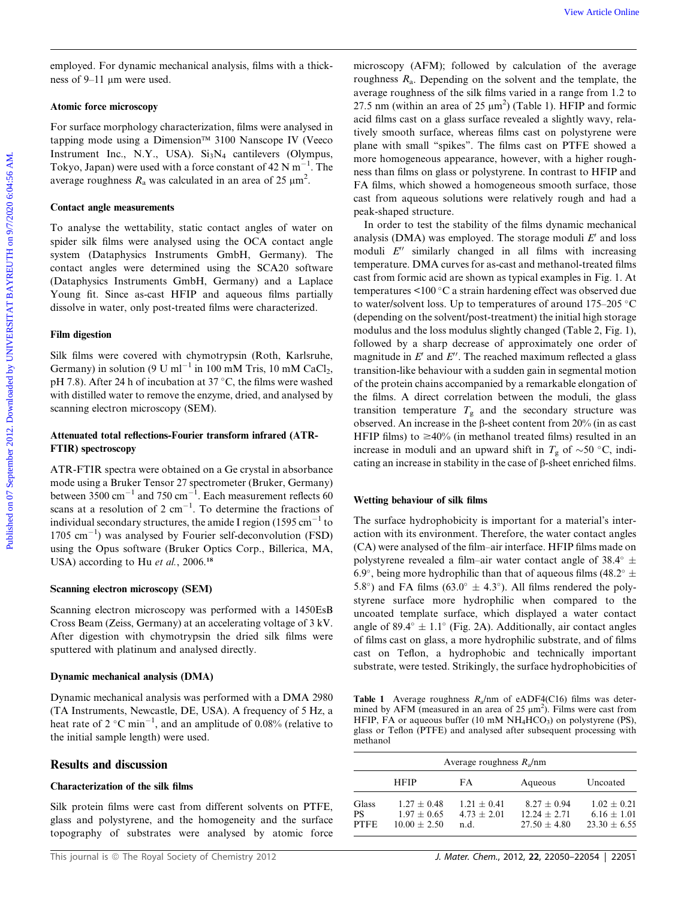employed. For dynamic mechanical analysis, films with a thickness of 9–11  $\mu$ m were used.

#### Atomic force microscopy

For surface morphology characterization, films were analysed in tapping mode using a Dimension™ 3100 Nanscope IV (Veeco Instrument Inc., N.Y., USA).  $Si<sub>3</sub>N<sub>4</sub>$  cantilevers (Olympus, Tokyo, Japan) were used with a force constant of  $42 \text{ N m}^{-1}$ . The average roughness  $R_a$  was calculated in an area of 25  $\mu$ m<sup>2</sup>.

#### Contact angle measurements

To analyse the wettability, static contact angles of water on spider silk films were analysed using the OCA contact angle system (Dataphysics Instruments GmbH, Germany). The contact angles were determined using the SCA20 software (Dataphysics Instruments GmbH, Germany) and a Laplace Young fit. Since as-cast HFIP and aqueous films partially dissolve in water, only post-treated films were characterized.

#### Film digestion

Silk films were covered with chymotrypsin (Roth, Karlsruhe, Germany) in solution (9 U ml<sup>-1</sup> in 100 mM Tris, 10 mM CaCl<sub>2</sub>, pH 7.8). After 24 h of incubation at 37  $\degree$ C, the films were washed with distilled water to remove the enzyme, dried, and analysed by scanning electron microscopy (SEM).

#### Attenuated total reflections-Fourier transform infrared (ATR-FTIR) spectroscopy

ATR-FTIR spectra were obtained on a Ge crystal in absorbance mode using a Bruker Tensor 27 spectrometer (Bruker, Germany) between 3500  $\text{cm}^{-1}$  and 750  $\text{cm}^{-1}$ . Each measurement reflects 60 scans at a resolution of 2  $cm^{-1}$ . To determine the fractions of individual secondary structures, the amide I region  $(1595 \text{ cm}^{-1}$  to  $1705 \text{ cm}^{-1}$ ) was analysed by Fourier self-deconvolution (FSD) using the Opus software (Bruker Optics Corp., Billerica, MA, USA) according to Hu et al., 2006.<sup>18</sup>

#### Scanning electron microscopy (SEM)

Scanning electron microscopy was performed with a 1450EsB Cross Beam (Zeiss, Germany) at an accelerating voltage of 3 kV. After digestion with chymotrypsin the dried silk films were sputtered with platinum and analysed directly.

#### Dynamic mechanical analysis (DMA)

Dynamic mechanical analysis was performed with a DMA 2980 (TA Instruments, Newcastle, DE, USA). A frequency of 5 Hz, a heat rate of 2  $^{\circ}$ C min<sup>-1</sup>, and an amplitude of 0.08% (relative to the initial sample length) were used.

#### Results and discussion

#### Characterization of the silk films

Silk protein films were cast from different solvents on PTFE, glass and polystyrene, and the homogeneity and the surface topography of substrates were analysed by atomic force

microscopy (AFM); followed by calculation of the average roughness  $R_a$ . Depending on the solvent and the template, the average roughness of the silk films varied in a range from 1.2 to 27.5 nm (within an area of 25  $\mu$ m<sup>2</sup>) (Table 1). HFIP and formic acid films cast on a glass surface revealed a slightly wavy, relatively smooth surface, whereas films cast on polystyrene were plane with small ''spikes''. The films cast on PTFE showed a more homogeneous appearance, however, with a higher roughness than films on glass or polystyrene. In contrast to HFIP and FA films, which showed a homogeneous smooth surface, those cast from aqueous solutions were relatively rough and had a peak-shaped structure.

In order to test the stability of the films dynamic mechanical analysis (DMA) was employed. The storage moduli  $E'$  and loss moduli  $E''$  similarly changed in all films with increasing temperature. DMA curves for as-cast and methanol-treated films cast from formic acid are shown as typical examples in Fig. 1. At temperatures  $\leq 100$  °C a strain hardening effect was observed due to water/solvent loss. Up to temperatures of around  $175-205$  °C (depending on the solvent/post-treatment) the initial high storage modulus and the loss modulus slightly changed (Table 2, Fig. 1), followed by a sharp decrease of approximately one order of magnitude in  $E'$  and  $E''$ . The reached maximum reflected a glass transition-like behaviour with a sudden gain in segmental motion of the protein chains accompanied by a remarkable elongation of the films. A direct correlation between the moduli, the glass transition temperature  $T_g$  and the secondary structure was observed. An increase in the  $\beta$ -sheet content from 20% (in as cast HFIP films) to  $\geq 40\%$  (in methanol treated films) resulted in an increase in moduli and an upward shift in  $T_g$  of  $\sim$ 50 °C, indicating an increase in stability in the case of  $\beta$ -sheet enriched films. vez Article Conservation (Article Conservation Conservation Conservation (Article Online and Conservation Conservation (New Article Online and Conservation Conservation Conservation (New Article Conservation Conservation

#### Wetting behaviour of silk films

The surface hydrophobicity is important for a material's interaction with its environment. Therefore, the water contact angles (CA) were analysed of the film–air interface. HFIP films made on polystyrene revealed a film–air water contact angle of 38.4 $\degree$   $\pm$ 6.9°, being more hydrophilic than that of aqueous films (48.2°  $\pm$ 5.8°) and FA films (63.0°  $\pm$  4.3°). All films rendered the polystyrene surface more hydrophilic when compared to the uncoated template surface, which displayed a water contact angle of 89.4 $\degree$  ± 1.1 $\degree$  (Fig. 2A). Additionally, air contact angles of films cast on glass, a more hydrophilic substrate, and of films cast on Teflon, a hydrophobic and technically important substrate, were tested. Strikingly, the surface hydrophobicities of

**Table 1** Average roughness  $R_a$ /nm of eADF4(C16) films was determined by AFM (measured in an area of  $25 \mu m^2$ ). Films were cast from HFIP, FA or aqueous buffer (10 mM  $NH<sub>4</sub>HCO<sub>3</sub>$ ) on polystyrene (PS), glass or Teflon (PTFE) and analysed after subsequent processing with methanol

| Average roughness $R_a$ /nm       |                                                  |                                        |                                                   |                                                  |  |  |
|-----------------------------------|--------------------------------------------------|----------------------------------------|---------------------------------------------------|--------------------------------------------------|--|--|
|                                   | <b>HFIP</b>                                      | FA                                     | Aqueous                                           | Uncoated                                         |  |  |
| Glass<br><b>PS</b><br><b>PTFE</b> | $1.27 + 0.48$<br>$1.97 + 0.65$<br>$10.00 + 2.50$ | $1.21 + 0.41$<br>$4.73 + 2.01$<br>n.d. | $8.27 + 0.94$<br>$12.24 + 2.71$<br>$27.50 + 4.80$ | $1.02 + 0.21$<br>$6.16 + 1.01$<br>$23.30 + 6.55$ |  |  |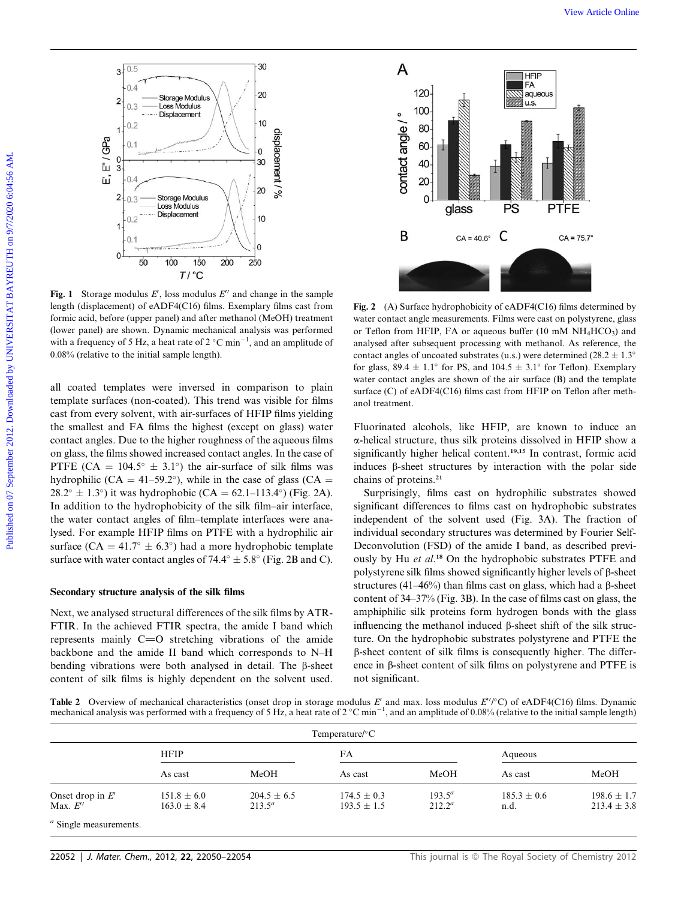

**Fig. 1** Storage modulus E', loss modulus  $E'$  and change in the sample length (displacement) of eADF4(C16) films. Exemplary films cast from formic acid, before (upper panel) and after methanol (MeOH) treatment (lower panel) are shown. Dynamic mechanical analysis was performed with a frequency of 5 Hz, a heat rate of  $2^{\circ}$ C min<sup>-1</sup>, and an amplitude of 0.08% (relative to the initial sample length).

all coated templates were inversed in comparison to plain template surfaces (non-coated). This trend was visible for films cast from every solvent, with air-surfaces of HFIP films yielding the smallest and FA films the highest (except on glass) water contact angles. Due to the higher roughness of the aqueous films on glass, the films showed increased contact angles. In the case of PTFE (CA =  $104.5^{\circ} \pm 3.1^{\circ}$ ) the air-surface of silk films was hydrophilic (CA = 41–59.2°), while in the case of glass (CA =  $28.2^{\circ} \pm 1.3^{\circ}$ ) it was hydrophobic (CA = 62.1–113.4°) (Fig. 2A). In addition to the hydrophobicity of the silk film–air interface, the water contact angles of film–template interfaces were analysed. For example HFIP films on PTFE with a hydrophilic air surface (CA = 41.7°  $\pm$  6.3°) had a more hydrophobic template surface with water contact angles of 74.4 $\degree \pm$  5.8 $\degree$  (Fig. 2B and C).

#### Secondary structure analysis of the silk films

Next, we analysed structural differences of the silk films by ATR-FTIR. In the achieved FTIR spectra, the amide I band which represents mainly  $C=O$  stretching vibrations of the amide backbone and the amide II band which corresponds to N–H bending vibrations were both analysed in detail. The B-sheet content of silk films is highly dependent on the solvent used.



Fig. 2 (A) Surface hydrophobicity of eADF4(C16) films determined by water contact angle measurements. Films were cast on polystyrene, glass or Teflon from HFIP, FA or aqueous buffer (10 mM  $NH_4HCO_3$ ) and analysed after subsequent processing with methanol. As reference, the contact angles of uncoated substrates (u.s.) were determined (28.2  $\pm$  1.3° for glass,  $89.4 \pm 1.1^{\circ}$  for PS, and  $104.5 \pm 3.1^{\circ}$  for Teflon). Exemplary water contact angles are shown of the air surface (B) and the template surface (C) of eADF4(C16) films cast from HFIP on Teflon after methanol treatment.

Fluorinated alcohols, like HFIP, are known to induce an a-helical structure, thus silk proteins dissolved in HFIP show a significantly higher helical content.<sup>19,15</sup> In contrast, formic acid induces  $\beta$ -sheet structures by interaction with the polar side chains of proteins.<sup>21</sup>

Surprisingly, films cast on hydrophilic substrates showed significant differences to films cast on hydrophobic substrates independent of the solvent used (Fig. 3A). The fraction of individual secondary structures was determined by Fourier Self-Deconvolution (FSD) of the amide I band, as described previously by Hu et al.<sup>18</sup> On the hydrophobic substrates PTFE and polystyrene silk films showed significantly higher levels of  $\beta$ -sheet structures (41–46%) than films cast on glass, which had a  $\beta$ -sheet content of 34–37% (Fig. 3B). In the case of films cast on glass, the amphiphilic silk proteins form hydrogen bonds with the glass influencing the methanol induced  $\beta$ -sheet shift of the silk structure. On the hydrophobic substrates polystyrene and PTFE the b-sheet content of silk films is consequently higher. The difference in  $\beta$ -sheet content of silk films on polystyrene and PTFE is not significant.

Table 2 Overview of mechanical characteristics (onset drop in storage modulus E' and max. loss modulus  $E''/^{\circ}C$ ) of eADF4(C16) films. Dynamic<br>mechanical analysis was performed with a frequency of 5 Hz, a heat rate of 2

| Temperature/ $\rm ^{\circ}C$                  |                                    |                              |                                    |                        |                         |                                    |  |
|-----------------------------------------------|------------------------------------|------------------------------|------------------------------------|------------------------|-------------------------|------------------------------------|--|
|                                               | <b>HFIP</b>                        |                              | FA                                 |                        | Aqueous                 |                                    |  |
|                                               | As cast                            | MeOH                         | As cast                            | MeOH                   | As cast                 | MeOH                               |  |
| Onset drop in $E'$<br>Max. $E^{\prime\prime}$ | $151.8 \pm 6.0$<br>$163.0 \pm 8.4$ | $204.5 \pm 6.5$<br>$213.5^a$ | $174.5 \pm 0.3$<br>$193.5 \pm 1.5$ | $193.5^a$<br>$212.2^a$ | $185.3 \pm 0.6$<br>n.d. | $198.6 \pm 1.7$<br>$213.4 \pm 3.8$ |  |
| <sup><i>a</i></sup> Single measurements       |                                    |                              |                                    |                        |                         |                                    |  |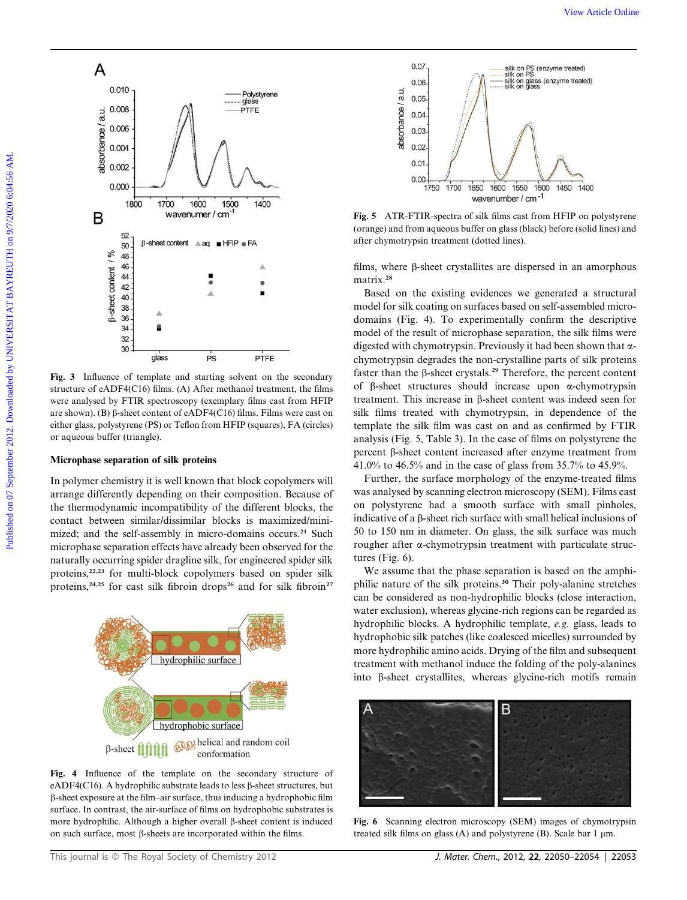

Fig. 3 Influence of template and starting solvent on the secondary structure of eADF4(C16) films. (A) After methanol treatment, the films were analysed by FTIR spectroscopy (exemplary films cast from HFIP are shown). (B)  $\beta$ -sheet content of eADF4(C16) films. Films were cast on either glass, polystyrene (PS) or Teflon from HFIP (squares), FA (circles) or aqueous buffer (triangle).

#### Microphase separation of silk proteins

In polymer chemistry it is well known that block copolymers will arrange differently depending on their composition. Because of the thermodynamic incompatibility of the different blocks, the contact between similar/dissimilar blocks is maximized/minimized; and the self-assembly in micro-domains occurs.<sup>21</sup> Such microphase separation effects have already been observed for the naturally occurring spider dragline silk, for engineered spider silk proteins,<sup>22,23</sup> for multi-block copolymers based on spider silk proteins,<sup>24,25</sup> for cast silk fibroin drops<sup>26</sup> and for silk fibroin<sup>27</sup>



Fig. 4 Influence of the template on the secondary structure of eADF4(C16). A hydrophilic substrate leads to less  $\beta$ -sheet structures, but b-sheet exposure at the film–air surface, thus inducing a hydrophobic film surface. In contrast, the air-surface of films on hydrophobic substrates is more hydrophilic. Although a higher overall  $\beta$ -sheet content is induced on such surface, most  $\beta$ -sheets are incorporated within the films.



Fig. 5 ATR-FTIR-spectra of silk films cast from HFIP on polystyrene (orange) and from aqueous buffer on glass (black) before (solid lines) and after chymotrypsin treatment (dotted lines).

films, where  $\beta$ -sheet crystallites are dispersed in an amorphous matrix.<sup>28</sup>

Based on the existing evidences we generated a structural model for silk coating on surfaces based on self-assembled microdomains (Fig. 4). To experimentally confirm the descriptive model of the result of microphase separation, the silk films were digested with chymotrypsin. Previously it had been shown that  $\alpha$ chymotrypsin degrades the non-crystalline parts of silk proteins faster than the  $\beta$ -sheet crystals.<sup>29</sup> Therefore, the percent content of  $\beta$ -sheet structures should increase upon  $\alpha$ -chymotrypsin treatment. This increase in  $\beta$ -sheet content was indeed seen for silk films treated with chymotrypsin, in dependence of the template the silk film was cast on and as confirmed by FTIR analysis (Fig. 5, Table 3). In the case of films on polystyrene the percent b-sheet content increased after enzyme treatment from 41.0% to 46.5% and in the case of glass from 35.7% to 45.9%.

Further, the surface morphology of the enzyme-treated films was analysed by scanning electron microscopy (SEM). Films cast on polystyrene had a smooth surface with small pinholes, indicative of a  $\beta$ -sheet rich surface with small helical inclusions of 50 to 150 nm in diameter. On glass, the silk surface was much rougher after a-chymotrypsin treatment with particulate structures (Fig. 6).

We assume that the phase separation is based on the amphiphilic nature of the silk proteins.<sup>30</sup> Their poly-alanine stretches can be considered as non-hydrophilic blocks (close interaction, water exclusion), whereas glycine-rich regions can be regarded as hydrophilic blocks. A hydrophilic template, e.g. glass, leads to hydrophobic silk patches (like coalesced micelles) surrounded by more hydrophilic amino acids. Drying of the film and subsequent treatment with methanol induce the folding of the poly-alanines into  $\beta$ -sheet crystallites, whereas glycine-rich motifs remain



Fig. 6 Scanning electron microscopy (SEM) images of chymotrypsin treated silk films on glass (A) and polystyrene (B). Scale bar  $1 \mu m$ .